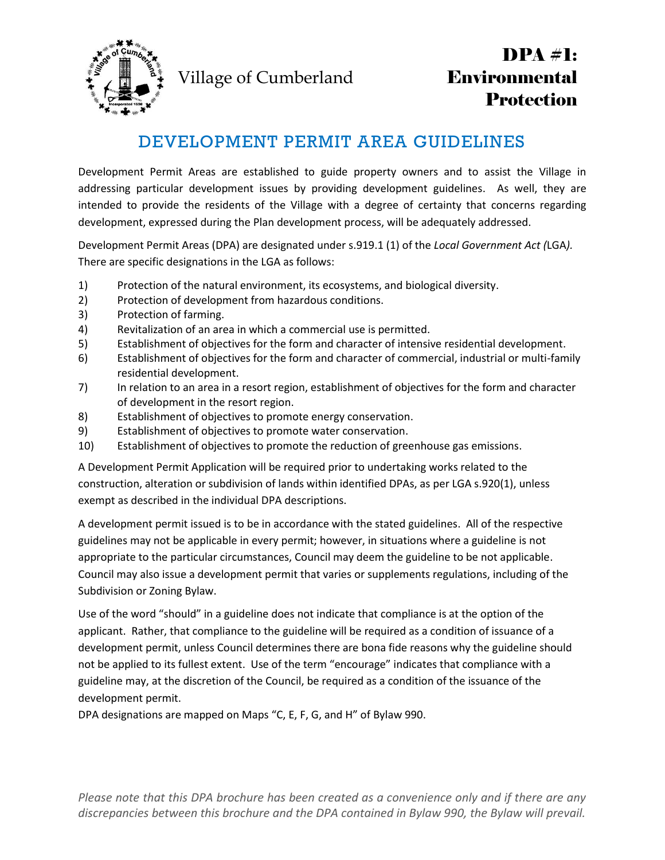

Village of Cumberland

# $$ Environmental **Protection**

## DEVELOPMENT PERMIT AREA GUIDELINES

Development Permit Areas are established to guide property owners and to assist the Village in addressing particular development issues by providing development guidelines. As well, they are intended to provide the residents of the Village with a degree of certainty that concerns regarding development, expressed during the Plan development process, will be adequately addressed.

Development Permit Areas (DPA) are designated under s.919.1 (1) of the *Local Government Act (*LGA*).*  There are specific designations in the LGA as follows:

- 1) Protection of the natural environment, its ecosystems, and biological diversity.
- 2) Protection of development from hazardous conditions.
- 3) Protection of farming.
- 4) Revitalization of an area in which a commercial use is permitted.
- 5) Establishment of objectives for the form and character of intensive residential development.
- 6) Establishment of objectives for the form and character of commercial, industrial or multi-family residential development.
- 7) In relation to an area in a resort region, establishment of objectives for the form and character of development in the resort region.
- 8) Establishment of objectives to promote energy conservation.
- 9) Establishment of objectives to promote water conservation.
- 10) Establishment of objectives to promote the reduction of greenhouse gas emissions.

A Development Permit Application will be required prior to undertaking works related to the construction, alteration or subdivision of lands within identified DPAs, as per LGA s.920(1), unless exempt as described in the individual DPA descriptions.

A development permit issued is to be in accordance with the stated guidelines. All of the respective guidelines may not be applicable in every permit; however, in situations where a guideline is not appropriate to the particular circumstances, Council may deem the guideline to be not applicable. Council may also issue a development permit that varies or supplements regulations, including of the Subdivision or Zoning Bylaw.

Use of the word "should" in a guideline does not indicate that compliance is at the option of the applicant. Rather, that compliance to the guideline will be required as a condition of issuance of a development permit, unless Council determines there are bona fide reasons why the guideline should not be applied to its fullest extent. Use of the term "encourage" indicates that compliance with a guideline may, at the discretion of the Council, be required as a condition of the issuance of the development permit.

DPA designations are mapped on Maps "C, E, F, G, and H" of Bylaw 990.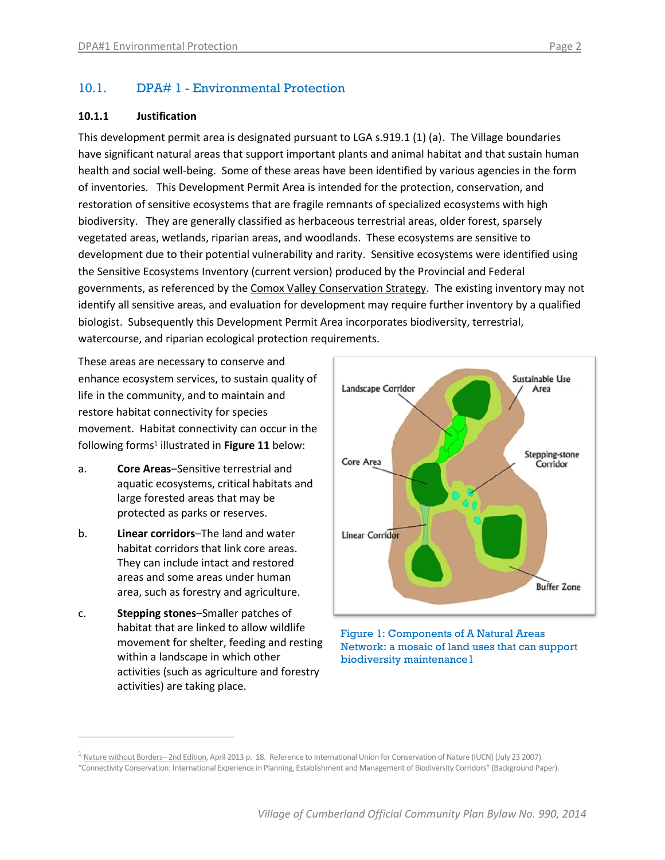## 10.1. DPA# 1 - Environmental Protection

#### **10.1.1 Justification**

This development permit area is designated pursuant to LGA s.919.1 (1) (a). The Village boundaries have significant natural areas that support important plants and animal habitat and that sustain human health and social well-being. Some of these areas have been identified by various agencies in the form of inventories. This Development Permit Area is intended for the protection, conservation, and restoration of sensitive ecosystems that are fragile remnants of specialized ecosystems with high biodiversity. They are generally classified as herbaceous terrestrial areas, older forest, sparsely vegetated areas, wetlands, riparian areas, and woodlands. These ecosystems are sensitive to development due to their potential vulnerability and rarity. Sensitive ecosystems were identified using the Sensitive Ecosystems Inventory (current version) produced by the Provincial and Federal governments, as referenced by the Comox Valley Conservation Strategy. The existing inventory may not identify all sensitive areas, and evaluation for development may require further inventory by a qualified biologist. Subsequently this Development Permit Area incorporates biodiversity, terrestrial, watercourse, and riparian ecological protection requirements.

These areas are necessary to conserve and enhance ecosystem services, to sustain quality of life in the community, and to maintain and restore habitat connectivity for species movement. Habitat connectivity can occur in the following forms<sup>1</sup> illustrated in Figure 11 below:

- a. **Core Areas**–Sensitive terrestrial and aquatic ecosystems, critical habitats and large forested areas that may be protected as parks or reserves.
- b. **Linear corridors**–The land and water habitat corridors that link core areas. They can include intact and restored areas and some areas under human area, such as forestry and agriculture.
- c. **Stepping stones**–Smaller patches of habitat that are linked to allow wildlife movement for shelter, feeding and resting within a landscape in which other activities (such as agriculture and forestry activities) are taking place.

 $\overline{\phantom{a}}$ 





<sup>&</sup>lt;sup>1</sup> Nature without Borders– 2nd Edition, April 2013 p. 18. Reference to International Union for Conservation of Nature (IUCN) (July 23 2007).

<sup>&</sup>quot;Connectivity Conservation: International Experience in Planning, Establishment and Management of Biodiversity Corridors" (Background Paper).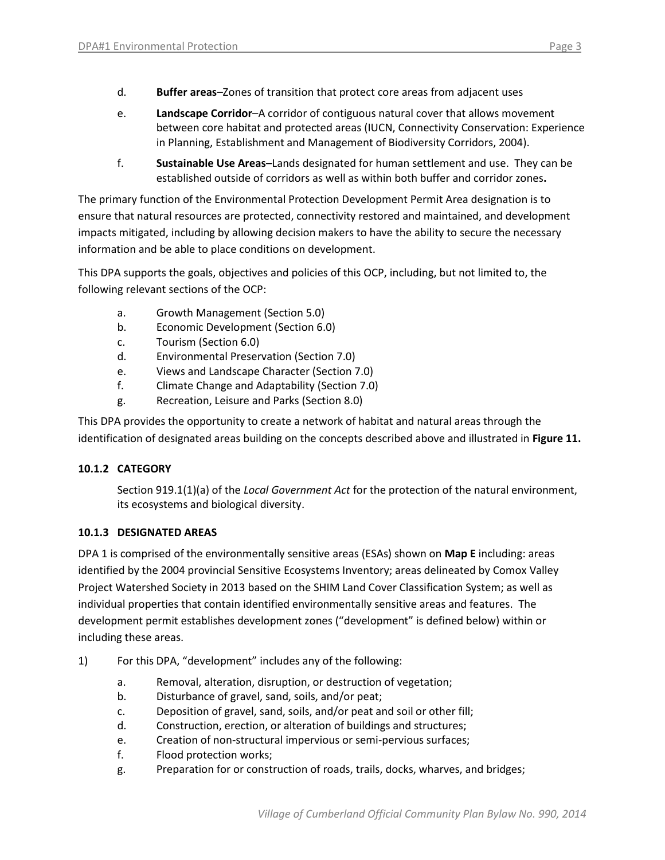- d. **Buffer areas**–Zones of transition that protect core areas from adjacent uses
- e. **Landscape Corridor**–A corridor of contiguous natural cover that allows movement between core habitat and protected areas (IUCN, Connectivity Conservation: Experience in Planning, Establishment and Management of Biodiversity Corridors, 2004).
- f. **Sustainable Use Areas–**Lands designated for human settlement and use. They can be established outside of corridors as well as within both buffer and corridor zones**.**

The primary function of the Environmental Protection Development Permit Area designation is to ensure that natural resources are protected, connectivity restored and maintained, and development impacts mitigated, including by allowing decision makers to have the ability to secure the necessary information and be able to place conditions on development.

This DPA supports the goals, objectives and policies of this OCP, including, but not limited to, the following relevant sections of the OCP:

- a. Growth Management (Section 5.0)
- b. Economic Development (Section 6.0)
- c. Tourism (Section 6.0)
- d. Environmental Preservation (Section 7.0)
- e. Views and Landscape Character (Section 7.0)
- f. Climate Change and Adaptability (Section 7.0)
- g. Recreation, Leisure and Parks (Section 8.0)

This DPA provides the opportunity to create a network of habitat and natural areas through the identification of designated areas building on the concepts described above and illustrated in **Figure 11.**

#### **10.1.2 CATEGORY**

Section 919.1(1)(a) of the *Local Government Act* for the protection of the natural environment, its ecosystems and biological diversity.

#### **10.1.3 DESIGNATED AREAS**

DPA 1 is comprised of the environmentally sensitive areas (ESAs) shown on **Map E** including: areas identified by the 2004 provincial Sensitive Ecosystems Inventory; areas delineated by Comox Valley Project Watershed Society in 2013 based on the SHIM Land Cover Classification System; as well as individual properties that contain identified environmentally sensitive areas and features. The development permit establishes development zones ("development" is defined below) within or including these areas.

- 1) For this DPA, "development" includes any of the following:
	- a. Removal, alteration, disruption, or destruction of vegetation;
	- b. Disturbance of gravel, sand, soils, and/or peat;
	- c. Deposition of gravel, sand, soils, and/or peat and soil or other fill;
	- d. Construction, erection, or alteration of buildings and structures;
	- e. Creation of non-structural impervious or semi-pervious surfaces;
	- f. Flood protection works;
	- g. Preparation for or construction of roads, trails, docks, wharves, and bridges;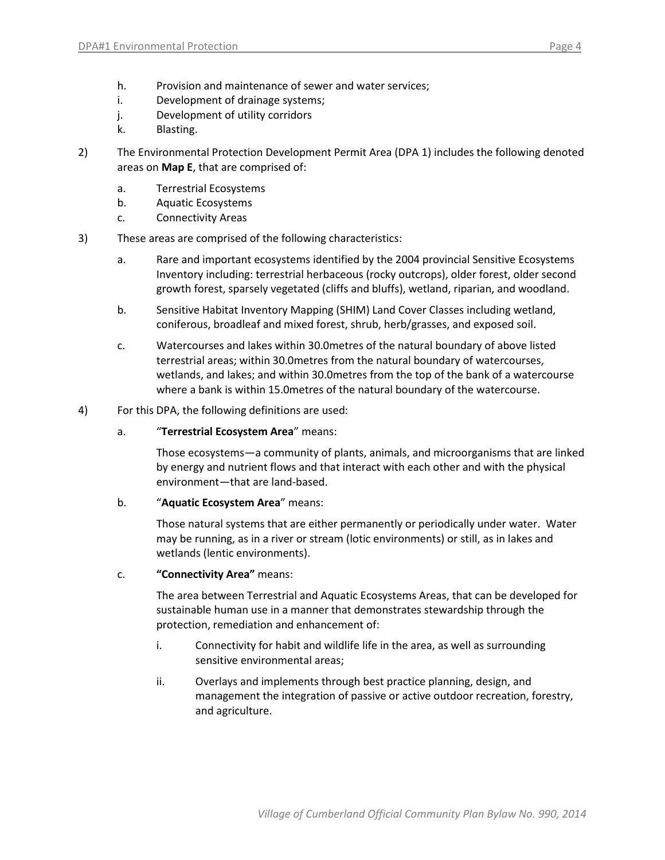- h. Provision and maintenance of sewer and water services;
- i. Development of drainage systems;
- j. Development of utility corridors
- k. Blasting.
- 2) The Environmental Protection Development Permit Area (DPA 1) includes the following denoted areas on **Map E**, that are comprised of:
	- a. Terrestrial Ecosystems
	- b. Aquatic Ecosystems
	- c. Connectivity Areas
- 3) These areas are comprised of the following characteristics:
	- a. Rare and important ecosystems identified by the 2004 provincial Sensitive Ecosystems Inventory including: terrestrial herbaceous (rocky outcrops), older forest, older second growth forest, sparsely vegetated (cliffs and bluffs), wetland, riparian, and woodland.
	- b. Sensitive Habitat Inventory Mapping (SHIM) Land Cover Classes including wetland, coniferous, broadleaf and mixed forest, shrub, herb/grasses, and exposed soil.
	- c. Watercourses and lakes within 30.0metres of the natural boundary of above listed terrestrial areas; within 30.0metres from the natural boundary of watercourses, wetlands, and lakes; and within 30.0metres from the top of the bank of a watercourse where a bank is within 15.0metres of the natural boundary of the watercourse.
- 4) For this DPA, the following definitions are used:
	- a. "**Terrestrial Ecosystem Area**" means:

Those ecosystems—a community of plants, animals, and microorganisms that are linked by energy and nutrient flows and that interact with each other and with the physical environment—that are land-based.

b. "**Aquatic Ecosystem Area**" means:

Those natural systems that are either permanently or periodically under water. Water may be running, as in a river or stream (lotic environments) or still, as in lakes and wetlands (lentic environments).

c. **"Connectivity Area"** means:

The area between Terrestrial and Aquatic Ecosystems Areas, that can be developed for sustainable human use in a manner that demonstrates stewardship through the protection, remediation and enhancement of:

- i. Connectivity for habit and wildlife life in the area, as well as surrounding sensitive environmental areas;
- ii. Overlays and implements through best practice planning, design, and management the integration of passive or active outdoor recreation, forestry, and agriculture.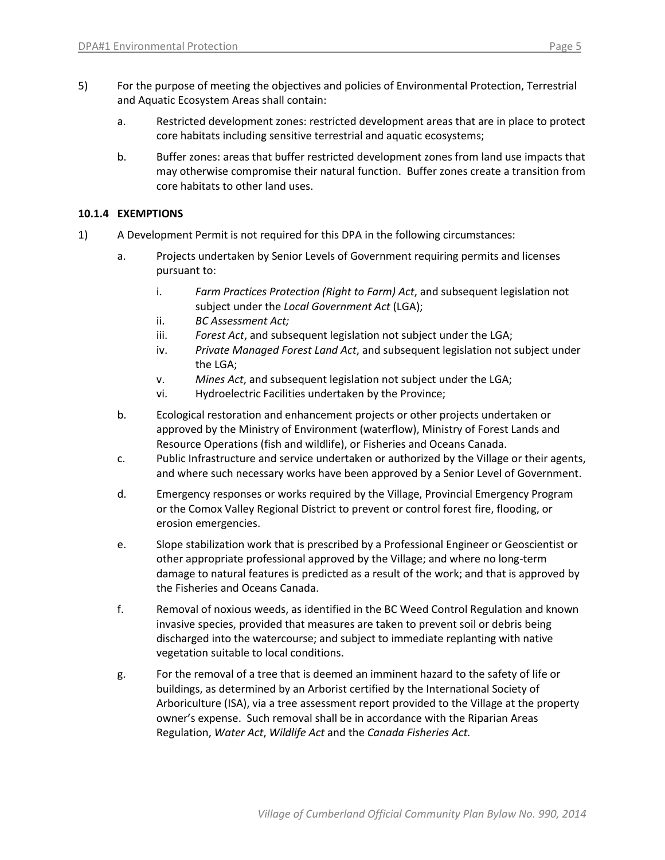- 5) For the purpose of meeting the objectives and policies of Environmental Protection, Terrestrial and Aquatic Ecosystem Areas shall contain:
	- a. Restricted development zones: restricted development areas that are in place to protect core habitats including sensitive terrestrial and aquatic ecosystems;
	- b. Buffer zones: areas that buffer restricted development zones from land use impacts that may otherwise compromise their natural function. Buffer zones create a transition from core habitats to other land uses.

#### **10.1.4 EXEMPTIONS**

- 1) A Development Permit is not required for this DPA in the following circumstances:
	- a. Projects undertaken by Senior Levels of Government requiring permits and licenses pursuant to:
		- i. *Farm Practices Protection (Right to Farm) Act*, and subsequent legislation not subject under the *Local Government Act* (LGA);
		- ii. *BC Assessment Act;*
		- iii. *Forest Act*, and subsequent legislation not subject under the LGA;
		- iv. *Private Managed Forest Land Act*, and subsequent legislation not subject under the LGA;
		- v. *Mines Act*, and subsequent legislation not subject under the LGA;
		- vi. Hydroelectric Facilities undertaken by the Province;
	- b. Ecological restoration and enhancement projects or other projects undertaken or approved by the Ministry of Environment (waterflow), Ministry of Forest Lands and Resource Operations (fish and wildlife), or Fisheries and Oceans Canada.
	- c. Public Infrastructure and service undertaken or authorized by the Village or their agents, and where such necessary works have been approved by a Senior Level of Government.
	- d. Emergency responses or works required by the Village, Provincial Emergency Program or the Comox Valley Regional District to prevent or control forest fire, flooding, or erosion emergencies.
	- e. Slope stabilization work that is prescribed by a Professional Engineer or Geoscientist or other appropriate professional approved by the Village; and where no long-term damage to natural features is predicted as a result of the work; and that is approved by the Fisheries and Oceans Canada.
	- f. Removal of noxious weeds, as identified in the BC Weed Control Regulation and known invasive species, provided that measures are taken to prevent soil or debris being discharged into the watercourse; and subject to immediate replanting with native vegetation suitable to local conditions.
	- g. For the removal of a tree that is deemed an imminent hazard to the safety of life or buildings, as determined by an Arborist certified by the International Society of Arboriculture (ISA), via a tree assessment report provided to the Village at the property owner's expense. Such removal shall be in accordance with the Riparian Areas Regulation, *Water Act*, *Wildlife Act* and the *Canada Fisheries Act.*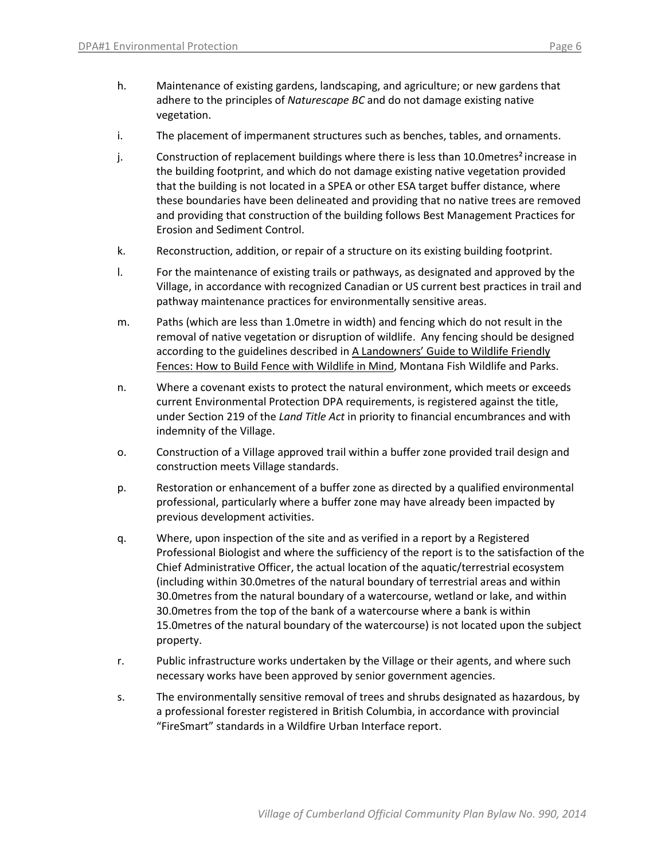- h. Maintenance of existing gardens, landscaping, and agriculture; or new gardens that adhere to the principles of *Naturescape BC* and do not damage existing native vegetation.
- i. The placement of impermanent structures such as benches, tables, and ornaments.
- j. Construction of replacement buildings where there is less than 10.0 metres<sup>2</sup> increase in the building footprint, and which do not damage existing native vegetation provided that the building is not located in a SPEA or other ESA target buffer distance, where these boundaries have been delineated and providing that no native trees are removed and providing that construction of the building follows Best Management Practices for Erosion and Sediment Control.
- k. Reconstruction, addition, or repair of a structure on its existing building footprint.
- l. For the maintenance of existing trails or pathways, as designated and approved by the Village, in accordance with recognized Canadian or US current best practices in trail and pathway maintenance practices for environmentally sensitive areas.
- m. Paths (which are less than 1.0metre in width) and fencing which do not result in the removal of native vegetation or disruption of wildlife. Any fencing should be designed according to the guidelines described in A Landowners' Guide to Wildlife Friendly Fences: How to Build Fence with Wildlife in Mind, Montana Fish Wildlife and Parks.
- n. Where a covenant exists to protect the natural environment, which meets or exceeds current Environmental Protection DPA requirements, is registered against the title, under Section 219 of the *Land Title Act* in priority to financial encumbrances and with indemnity of the Village.
- o. Construction of a Village approved trail within a buffer zone provided trail design and construction meets Village standards.
- p. Restoration or enhancement of a buffer zone as directed by a qualified environmental professional, particularly where a buffer zone may have already been impacted by previous development activities.
- q. Where, upon inspection of the site and as verified in a report by a Registered Professional Biologist and where the sufficiency of the report is to the satisfaction of the Chief Administrative Officer, the actual location of the aquatic/terrestrial ecosystem (including within 30.0metres of the natural boundary of terrestrial areas and within 30.0metres from the natural boundary of a watercourse, wetland or lake, and within 30.0metres from the top of the bank of a watercourse where a bank is within 15.0metres of the natural boundary of the watercourse) is not located upon the subject property.
- r. Public infrastructure works undertaken by the Village or their agents, and where such necessary works have been approved by senior government agencies.
- s. The environmentally sensitive removal of trees and shrubs designated as hazardous, by a professional forester registered in British Columbia, in accordance with provincial "FireSmart" standards in a Wildfire Urban Interface report.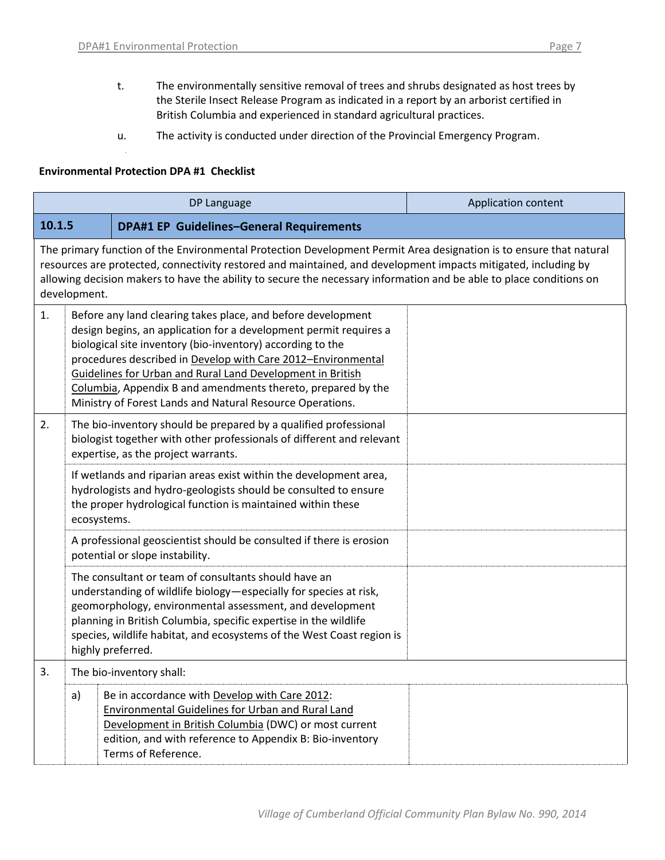- t. The environmentally sensitive removal of trees and shrubs designated as host trees by the Sterile Insect Release Program as indicated in a report by an arborist certified in British Columbia and experienced in standard agricultural practices.
- u. The activity is conducted under direction of the Provincial Emergency Program.

### **Environmental Protection DPA #1 Checklist**

|        |                                                                                                                                                                                                                                                                                                                                                                                                                                                            | DP Language                                                                                                                                                                                                                                                                                                                                                 | Application content |  |  |  |  |
|--------|------------------------------------------------------------------------------------------------------------------------------------------------------------------------------------------------------------------------------------------------------------------------------------------------------------------------------------------------------------------------------------------------------------------------------------------------------------|-------------------------------------------------------------------------------------------------------------------------------------------------------------------------------------------------------------------------------------------------------------------------------------------------------------------------------------------------------------|---------------------|--|--|--|--|
| 10.1.5 |                                                                                                                                                                                                                                                                                                                                                                                                                                                            | <b>DPA#1 EP Guidelines-General Requirements</b>                                                                                                                                                                                                                                                                                                             |                     |  |  |  |  |
|        | development.                                                                                                                                                                                                                                                                                                                                                                                                                                               | The primary function of the Environmental Protection Development Permit Area designation is to ensure that natural<br>resources are protected, connectivity restored and maintained, and development impacts mitigated, including by<br>allowing decision makers to have the ability to secure the necessary information and be able to place conditions on |                     |  |  |  |  |
| 1.     | Before any land clearing takes place, and before development<br>design begins, an application for a development permit requires a<br>biological site inventory (bio-inventory) according to the<br>procedures described in Develop with Care 2012-Environmental<br>Guidelines for Urban and Rural Land Development in British<br>Columbia, Appendix B and amendments thereto, prepared by the<br>Ministry of Forest Lands and Natural Resource Operations. |                                                                                                                                                                                                                                                                                                                                                             |                     |  |  |  |  |
| 2.     | The bio-inventory should be prepared by a qualified professional<br>biologist together with other professionals of different and relevant<br>expertise, as the project warrants.                                                                                                                                                                                                                                                                           |                                                                                                                                                                                                                                                                                                                                                             |                     |  |  |  |  |
|        | ecosystems.                                                                                                                                                                                                                                                                                                                                                                                                                                                | If wetlands and riparian areas exist within the development area,<br>hydrologists and hydro-geologists should be consulted to ensure<br>the proper hydrological function is maintained within these                                                                                                                                                         |                     |  |  |  |  |
|        |                                                                                                                                                                                                                                                                                                                                                                                                                                                            | A professional geoscientist should be consulted if there is erosion<br>potential or slope instability.                                                                                                                                                                                                                                                      |                     |  |  |  |  |
|        | The consultant or team of consultants should have an<br>understanding of wildlife biology-especially for species at risk,<br>geomorphology, environmental assessment, and development<br>planning in British Columbia, specific expertise in the wildlife<br>species, wildlife habitat, and ecosystems of the West Coast region is<br>highly preferred.                                                                                                    |                                                                                                                                                                                                                                                                                                                                                             |                     |  |  |  |  |
| 3.     |                                                                                                                                                                                                                                                                                                                                                                                                                                                            | The bio-inventory shall:                                                                                                                                                                                                                                                                                                                                    |                     |  |  |  |  |
|        | a)                                                                                                                                                                                                                                                                                                                                                                                                                                                         | Be in accordance with Develop with Care 2012:<br>Environmental Guidelines for Urban and Rural Land<br>Development in British Columbia (DWC) or most current<br>edition, and with reference to Appendix B: Bio-inventory<br>Terms of Reference.                                                                                                              |                     |  |  |  |  |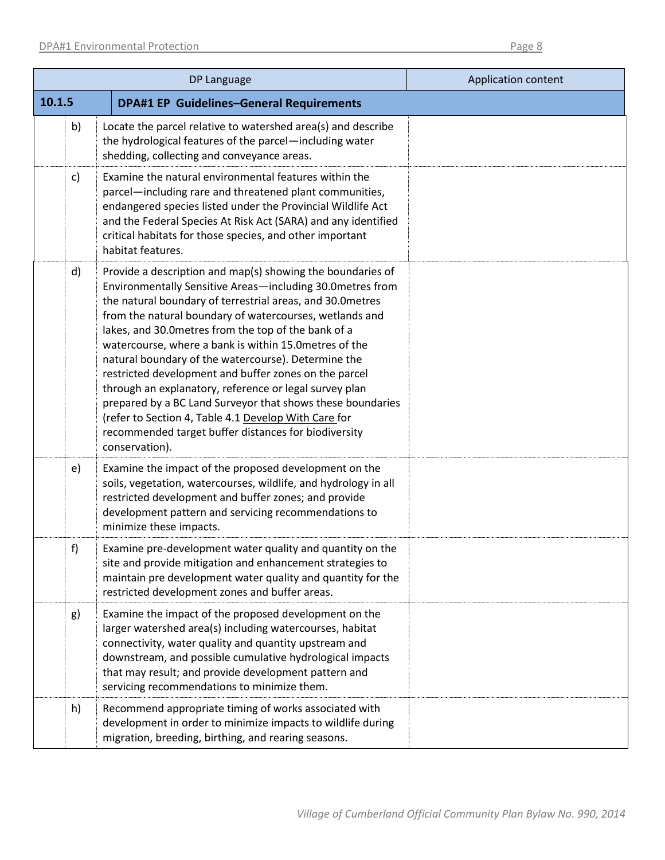|              | DP Language                                                                                                                                                                                                                                                                                                                                                                                                                                                                                                                                                                                                                                                                                                                               | Application content |
|--------------|-------------------------------------------------------------------------------------------------------------------------------------------------------------------------------------------------------------------------------------------------------------------------------------------------------------------------------------------------------------------------------------------------------------------------------------------------------------------------------------------------------------------------------------------------------------------------------------------------------------------------------------------------------------------------------------------------------------------------------------------|---------------------|
| 10.1.5       | <b>DPA#1 EP Guidelines-General Requirements</b>                                                                                                                                                                                                                                                                                                                                                                                                                                                                                                                                                                                                                                                                                           |                     |
| b)           | Locate the parcel relative to watershed area(s) and describe<br>the hydrological features of the parcel-including water<br>shedding, collecting and conveyance areas.                                                                                                                                                                                                                                                                                                                                                                                                                                                                                                                                                                     |                     |
| $\mathsf{C}$ | Examine the natural environmental features within the<br>parcel-including rare and threatened plant communities,<br>endangered species listed under the Provincial Wildlife Act<br>and the Federal Species At Risk Act (SARA) and any identified<br>critical habitats for those species, and other important<br>habitat features.                                                                                                                                                                                                                                                                                                                                                                                                         |                     |
| d)           | Provide a description and map(s) showing the boundaries of<br>Environmentally Sensitive Areas-including 30.0metres from<br>the natural boundary of terrestrial areas, and 30.0metres<br>from the natural boundary of watercourses, wetlands and<br>lakes, and 30.0metres from the top of the bank of a<br>watercourse, where a bank is within 15.0metres of the<br>natural boundary of the watercourse). Determine the<br>restricted development and buffer zones on the parcel<br>through an explanatory, reference or legal survey plan<br>prepared by a BC Land Surveyor that shows these boundaries<br>(refer to Section 4, Table 4.1 Develop With Care for<br>recommended target buffer distances for biodiversity<br>conservation). |                     |
| e)           | Examine the impact of the proposed development on the<br>soils, vegetation, watercourses, wildlife, and hydrology in all<br>restricted development and buffer zones; and provide<br>development pattern and servicing recommendations to<br>minimize these impacts.                                                                                                                                                                                                                                                                                                                                                                                                                                                                       |                     |
| f)           | Examine pre-development water quality and quantity on the<br>site and provide mitigation and enhancement strategies to<br>maintain pre development water quality and quantity for the<br>restricted development zones and buffer areas.                                                                                                                                                                                                                                                                                                                                                                                                                                                                                                   |                     |
| g)           | Examine the impact of the proposed development on the<br>larger watershed area(s) including watercourses, habitat<br>connectivity, water quality and quantity upstream and<br>downstream, and possible cumulative hydrological impacts<br>that may result; and provide development pattern and<br>servicing recommendations to minimize them.                                                                                                                                                                                                                                                                                                                                                                                             |                     |
| h)           | Recommend appropriate timing of works associated with<br>development in order to minimize impacts to wildlife during<br>migration, breeding, birthing, and rearing seasons.                                                                                                                                                                                                                                                                                                                                                                                                                                                                                                                                                               |                     |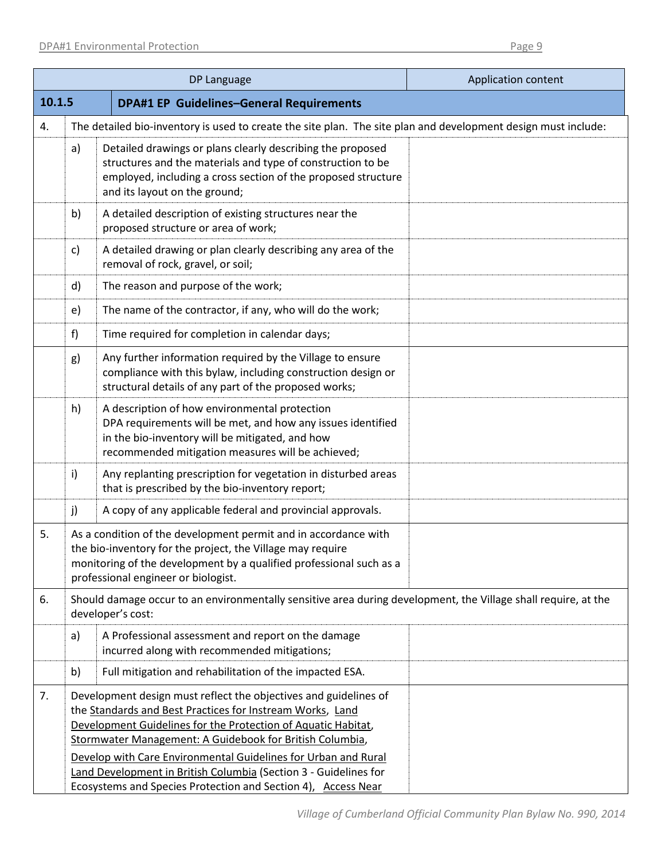|        |                                                                                                                                                                                                                                                                                                                              | DP Language                                                                                                                                                                                                                                 | Application content |  |  |
|--------|------------------------------------------------------------------------------------------------------------------------------------------------------------------------------------------------------------------------------------------------------------------------------------------------------------------------------|---------------------------------------------------------------------------------------------------------------------------------------------------------------------------------------------------------------------------------------------|---------------------|--|--|
| 10.1.5 |                                                                                                                                                                                                                                                                                                                              | <b>DPA#1 EP Guidelines-General Requirements</b>                                                                                                                                                                                             |                     |  |  |
| 4.     |                                                                                                                                                                                                                                                                                                                              | The detailed bio-inventory is used to create the site plan. The site plan and development design must include:                                                                                                                              |                     |  |  |
|        | a)                                                                                                                                                                                                                                                                                                                           | Detailed drawings or plans clearly describing the proposed<br>structures and the materials and type of construction to be<br>employed, including a cross section of the proposed structure<br>and its layout on the ground;                 |                     |  |  |
|        | b)                                                                                                                                                                                                                                                                                                                           | A detailed description of existing structures near the<br>proposed structure or area of work;                                                                                                                                               |                     |  |  |
|        | c)                                                                                                                                                                                                                                                                                                                           | A detailed drawing or plan clearly describing any area of the<br>removal of rock, gravel, or soil;                                                                                                                                          |                     |  |  |
|        | d)                                                                                                                                                                                                                                                                                                                           | The reason and purpose of the work;                                                                                                                                                                                                         |                     |  |  |
|        | e)                                                                                                                                                                                                                                                                                                                           | The name of the contractor, if any, who will do the work;                                                                                                                                                                                   |                     |  |  |
|        | f)                                                                                                                                                                                                                                                                                                                           | Time required for completion in calendar days;                                                                                                                                                                                              |                     |  |  |
|        | Any further information required by the Village to ensure<br>g)<br>compliance with this bylaw, including construction design or<br>structural details of any part of the proposed works;                                                                                                                                     |                                                                                                                                                                                                                                             |                     |  |  |
|        | h)                                                                                                                                                                                                                                                                                                                           | A description of how environmental protection<br>DPA requirements will be met, and how any issues identified<br>in the bio-inventory will be mitigated, and how<br>recommended mitigation measures will be achieved;                        |                     |  |  |
|        | i)                                                                                                                                                                                                                                                                                                                           | Any replanting prescription for vegetation in disturbed areas<br>that is prescribed by the bio-inventory report;                                                                                                                            |                     |  |  |
|        | j)                                                                                                                                                                                                                                                                                                                           | A copy of any applicable federal and provincial approvals.                                                                                                                                                                                  |                     |  |  |
| 5.     |                                                                                                                                                                                                                                                                                                                              | As a condition of the development permit and in accordance with<br>the bio-inventory for the project, the Village may require<br>monitoring of the development by a qualified professional such as a<br>professional engineer or biologist. |                     |  |  |
| 6.     |                                                                                                                                                                                                                                                                                                                              | Should damage occur to an environmentally sensitive area during development, the Village shall require, at the<br>developer's cost:                                                                                                         |                     |  |  |
|        | a)                                                                                                                                                                                                                                                                                                                           | A Professional assessment and report on the damage<br>incurred along with recommended mitigations;                                                                                                                                          |                     |  |  |
|        | b)                                                                                                                                                                                                                                                                                                                           | Full mitigation and rehabilitation of the impacted ESA.                                                                                                                                                                                     |                     |  |  |
| 7.     | Development design must reflect the objectives and guidelines of<br>the Standards and Best Practices for Instream Works, Land<br>Development Guidelines for the Protection of Aquatic Habitat,<br>Stormwater Management: A Guidebook for British Columbia,<br>Develop with Care Environmental Guidelines for Urban and Rural |                                                                                                                                                                                                                                             |                     |  |  |
|        |                                                                                                                                                                                                                                                                                                                              | Land Development in British Columbia (Section 3 - Guidelines for<br>Ecosystems and Species Protection and Section 4), Access Near                                                                                                           |                     |  |  |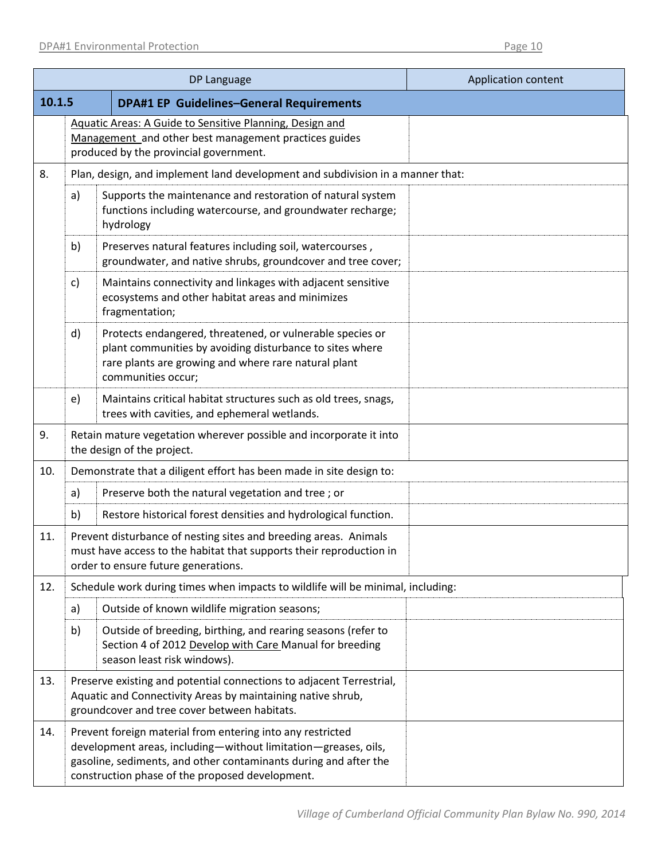|        |                                                                                                                                                                                     | DP Language                                                                                                                                                                                                                                         | Application content |  |  |
|--------|-------------------------------------------------------------------------------------------------------------------------------------------------------------------------------------|-----------------------------------------------------------------------------------------------------------------------------------------------------------------------------------------------------------------------------------------------------|---------------------|--|--|
| 10.1.5 |                                                                                                                                                                                     | <b>DPA#1 EP Guidelines-General Requirements</b>                                                                                                                                                                                                     |                     |  |  |
|        |                                                                                                                                                                                     |                                                                                                                                                                                                                                                     |                     |  |  |
| 8.     |                                                                                                                                                                                     | Plan, design, and implement land development and subdivision in a manner that:                                                                                                                                                                      |                     |  |  |
|        | Supports the maintenance and restoration of natural system<br>a)<br>functions including watercourse, and groundwater recharge;<br>hydrology                                         |                                                                                                                                                                                                                                                     |                     |  |  |
|        | b)                                                                                                                                                                                  | Preserves natural features including soil, watercourses,<br>groundwater, and native shrubs, groundcover and tree cover;                                                                                                                             |                     |  |  |
|        | c)                                                                                                                                                                                  | Maintains connectivity and linkages with adjacent sensitive<br>ecosystems and other habitat areas and minimizes<br>fragmentation;                                                                                                                   |                     |  |  |
|        | d)                                                                                                                                                                                  | Protects endangered, threatened, or vulnerable species or<br>plant communities by avoiding disturbance to sites where<br>rare plants are growing and where rare natural plant<br>communities occur;                                                 |                     |  |  |
|        | e)                                                                                                                                                                                  | Maintains critical habitat structures such as old trees, snags,<br>trees with cavities, and ephemeral wetlands.                                                                                                                                     |                     |  |  |
| 9.     |                                                                                                                                                                                     | Retain mature vegetation wherever possible and incorporate it into<br>the design of the project.                                                                                                                                                    |                     |  |  |
| 10.    |                                                                                                                                                                                     | Demonstrate that a diligent effort has been made in site design to:                                                                                                                                                                                 |                     |  |  |
|        | a)                                                                                                                                                                                  | Preserve both the natural vegetation and tree; or                                                                                                                                                                                                   |                     |  |  |
|        | Restore historical forest densities and hydrological function.<br>b)                                                                                                                |                                                                                                                                                                                                                                                     |                     |  |  |
| 11.    |                                                                                                                                                                                     | Prevent disturbance of nesting sites and breeding areas. Animals<br>must have access to the habitat that supports their reproduction in<br>order to ensure future generations.                                                                      |                     |  |  |
| 12.    |                                                                                                                                                                                     | Schedule work during times when impacts to wildlife will be minimal, including:                                                                                                                                                                     |                     |  |  |
|        | a)                                                                                                                                                                                  | Outside of known wildlife migration seasons;                                                                                                                                                                                                        |                     |  |  |
|        | b)                                                                                                                                                                                  | Outside of breeding, birthing, and rearing seasons (refer to<br>Section 4 of 2012 Develop with Care Manual for breeding<br>season least risk windows).                                                                                              |                     |  |  |
| 13.    | Preserve existing and potential connections to adjacent Terrestrial,<br>Aquatic and Connectivity Areas by maintaining native shrub,<br>groundcover and tree cover between habitats. |                                                                                                                                                                                                                                                     |                     |  |  |
| 14.    |                                                                                                                                                                                     | Prevent foreign material from entering into any restricted<br>development areas, including-without limitation-greases, oils,<br>gasoline, sediments, and other contaminants during and after the<br>construction phase of the proposed development. |                     |  |  |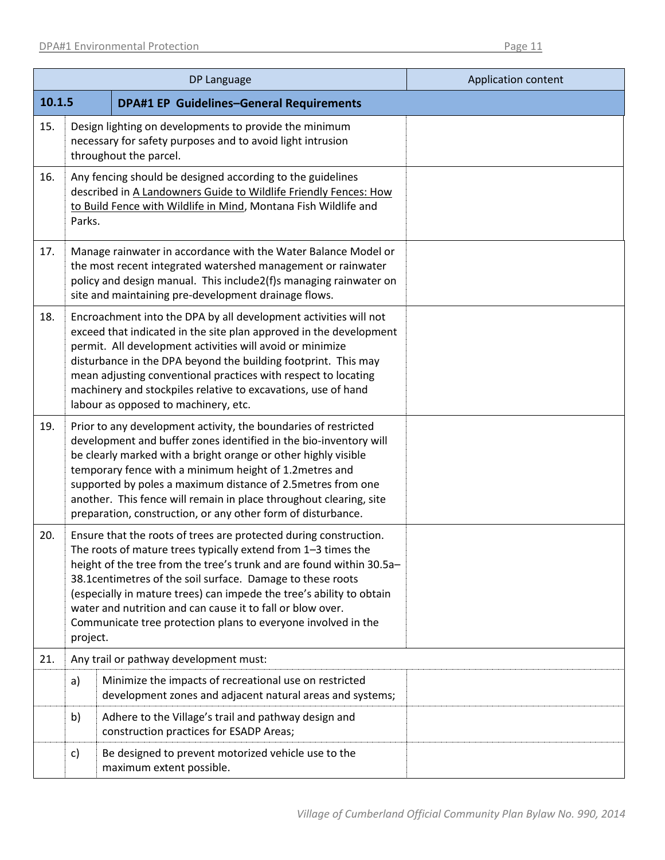|        |                                                                                                                                                                                                                                                                                                                                                                                                                                                                                              | DP Language                                                                                                                                                                                                                                                                                                                                                                                                                                      | Application content |  |  |
|--------|----------------------------------------------------------------------------------------------------------------------------------------------------------------------------------------------------------------------------------------------------------------------------------------------------------------------------------------------------------------------------------------------------------------------------------------------------------------------------------------------|--------------------------------------------------------------------------------------------------------------------------------------------------------------------------------------------------------------------------------------------------------------------------------------------------------------------------------------------------------------------------------------------------------------------------------------------------|---------------------|--|--|
| 10.1.5 |                                                                                                                                                                                                                                                                                                                                                                                                                                                                                              | <b>DPA#1 EP Guidelines-General Requirements</b>                                                                                                                                                                                                                                                                                                                                                                                                  |                     |  |  |
| 15.    |                                                                                                                                                                                                                                                                                                                                                                                                                                                                                              | Design lighting on developments to provide the minimum<br>necessary for safety purposes and to avoid light intrusion<br>throughout the parcel.                                                                                                                                                                                                                                                                                                   |                     |  |  |
| 16.    | Parks.                                                                                                                                                                                                                                                                                                                                                                                                                                                                                       | Any fencing should be designed according to the guidelines<br>described in A Landowners Guide to Wildlife Friendly Fences: How<br>to Build Fence with Wildlife in Mind, Montana Fish Wildlife and                                                                                                                                                                                                                                                |                     |  |  |
| 17.    |                                                                                                                                                                                                                                                                                                                                                                                                                                                                                              | Manage rainwater in accordance with the Water Balance Model or<br>the most recent integrated watershed management or rainwater<br>policy and design manual. This include2(f)s managing rainwater on<br>site and maintaining pre-development drainage flows.                                                                                                                                                                                      |                     |  |  |
| 18.    |                                                                                                                                                                                                                                                                                                                                                                                                                                                                                              | Encroachment into the DPA by all development activities will not<br>exceed that indicated in the site plan approved in the development<br>permit. All development activities will avoid or minimize<br>disturbance in the DPA beyond the building footprint. This may<br>mean adjusting conventional practices with respect to locating<br>machinery and stockpiles relative to excavations, use of hand<br>labour as opposed to machinery, etc. |                     |  |  |
| 19.    | Prior to any development activity, the boundaries of restricted<br>development and buffer zones identified in the bio-inventory will<br>be clearly marked with a bright orange or other highly visible<br>temporary fence with a minimum height of 1.2 metres and<br>supported by poles a maximum distance of 2.5 metres from one<br>another. This fence will remain in place throughout clearing, site<br>preparation, construction, or any other form of disturbance.                      |                                                                                                                                                                                                                                                                                                                                                                                                                                                  |                     |  |  |
| 20.    | Ensure that the roots of trees are protected during construction.<br>The roots of mature trees typically extend from 1-3 times the<br>height of the tree from the tree's trunk and are found within 30.5a-<br>38.1 centimetres of the soil surface. Damage to these roots<br>(especially in mature trees) can impede the tree's ability to obtain<br>water and nutrition and can cause it to fall or blow over.<br>Communicate tree protection plans to everyone involved in the<br>project. |                                                                                                                                                                                                                                                                                                                                                                                                                                                  |                     |  |  |
| 21.    |                                                                                                                                                                                                                                                                                                                                                                                                                                                                                              | Any trail or pathway development must:                                                                                                                                                                                                                                                                                                                                                                                                           |                     |  |  |
|        | Minimize the impacts of recreational use on restricted<br>a)<br>development zones and adjacent natural areas and systems;                                                                                                                                                                                                                                                                                                                                                                    |                                                                                                                                                                                                                                                                                                                                                                                                                                                  |                     |  |  |
|        | b)                                                                                                                                                                                                                                                                                                                                                                                                                                                                                           | Adhere to the Village's trail and pathway design and<br>construction practices for ESADP Areas;                                                                                                                                                                                                                                                                                                                                                  |                     |  |  |
|        | c)                                                                                                                                                                                                                                                                                                                                                                                                                                                                                           | Be designed to prevent motorized vehicle use to the<br>maximum extent possible.                                                                                                                                                                                                                                                                                                                                                                  |                     |  |  |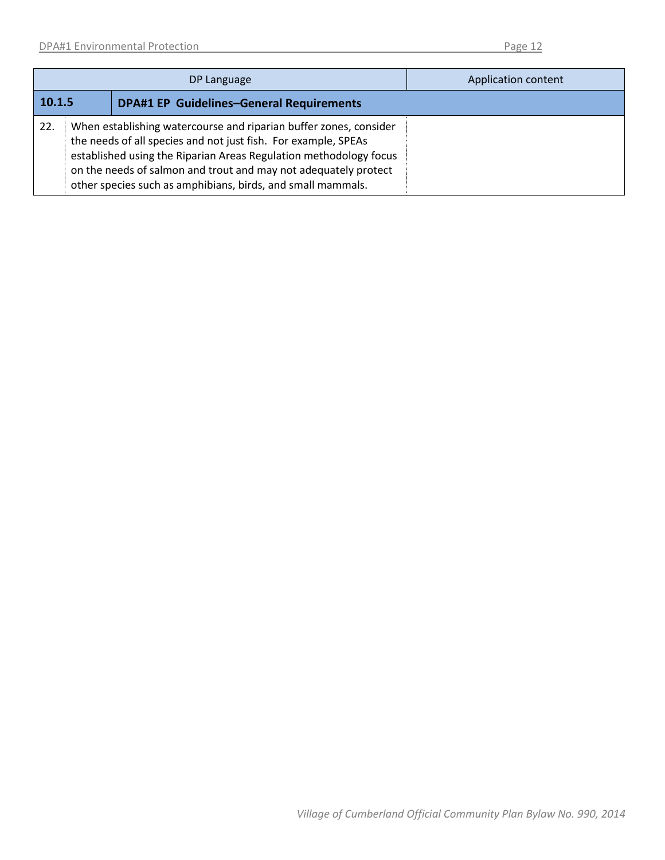|        |  | DP Language                                                                                                                                                                                                                                                                                                                                | Application content |
|--------|--|--------------------------------------------------------------------------------------------------------------------------------------------------------------------------------------------------------------------------------------------------------------------------------------------------------------------------------------------|---------------------|
| 10.1.5 |  | <b>DPA#1 EP Guidelines-General Requirements</b>                                                                                                                                                                                                                                                                                            |                     |
| 22.    |  | When establishing watercourse and riparian buffer zones, consider<br>the needs of all species and not just fish. For example, SPEAs<br>established using the Riparian Areas Regulation methodology focus<br>on the needs of salmon and trout and may not adequately protect<br>other species such as amphibians, birds, and small mammals. |                     |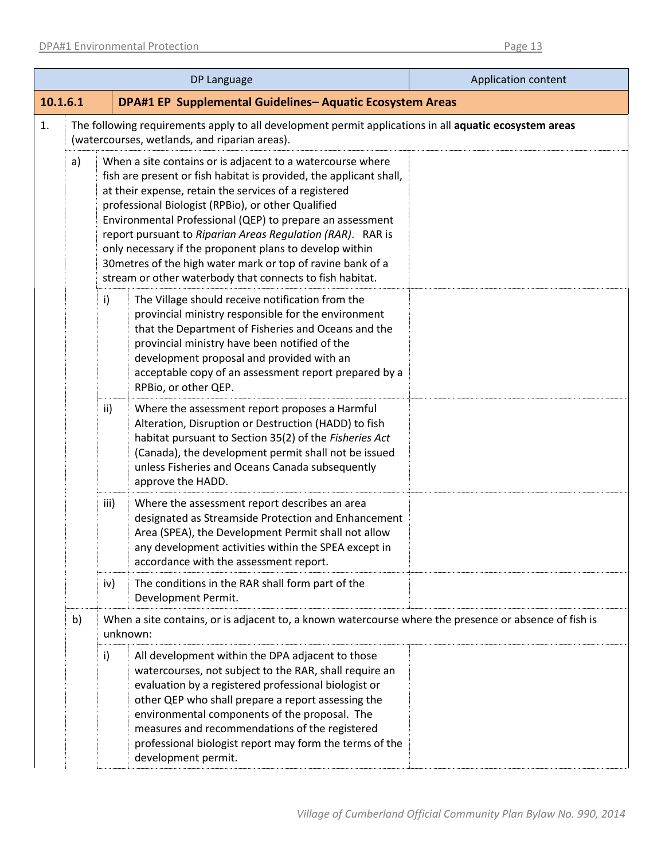|          |    |                                                                                                                                                                                                                                                                                                                                                                                                                                                                                                                                                                  | DP Language                                                                                                                                                                                                                                                                                                                                                                                                   | Application content |  |  |  |  |
|----------|----|------------------------------------------------------------------------------------------------------------------------------------------------------------------------------------------------------------------------------------------------------------------------------------------------------------------------------------------------------------------------------------------------------------------------------------------------------------------------------------------------------------------------------------------------------------------|---------------------------------------------------------------------------------------------------------------------------------------------------------------------------------------------------------------------------------------------------------------------------------------------------------------------------------------------------------------------------------------------------------------|---------------------|--|--|--|--|
| 10.1.6.1 |    |                                                                                                                                                                                                                                                                                                                                                                                                                                                                                                                                                                  | DPA#1 EP Supplemental Guidelines-Aquatic Ecosystem Areas                                                                                                                                                                                                                                                                                                                                                      |                     |  |  |  |  |
| 1.       |    | The following requirements apply to all development permit applications in all aquatic ecosystem areas<br>(watercourses, wetlands, and riparian areas).                                                                                                                                                                                                                                                                                                                                                                                                          |                                                                                                                                                                                                                                                                                                                                                                                                               |                     |  |  |  |  |
|          | a) | When a site contains or is adjacent to a watercourse where<br>fish are present or fish habitat is provided, the applicant shall,<br>at their expense, retain the services of a registered<br>professional Biologist (RPBio), or other Qualified<br>Environmental Professional (QEP) to prepare an assessment<br>report pursuant to Riparian Areas Regulation (RAR). RAR is<br>only necessary if the proponent plans to develop within<br>30 metres of the high water mark or top of ravine bank of a<br>stream or other waterbody that connects to fish habitat. |                                                                                                                                                                                                                                                                                                                                                                                                               |                     |  |  |  |  |
|          |    | $\mathsf{i}$                                                                                                                                                                                                                                                                                                                                                                                                                                                                                                                                                     | The Village should receive notification from the<br>provincial ministry responsible for the environment<br>that the Department of Fisheries and Oceans and the<br>provincial ministry have been notified of the<br>development proposal and provided with an<br>acceptable copy of an assessment report prepared by a<br>RPBio, or other QEP.                                                                 |                     |  |  |  |  |
|          |    | ii)                                                                                                                                                                                                                                                                                                                                                                                                                                                                                                                                                              | Where the assessment report proposes a Harmful<br>Alteration, Disruption or Destruction (HADD) to fish<br>habitat pursuant to Section 35(2) of the Fisheries Act<br>(Canada), the development permit shall not be issued<br>unless Fisheries and Oceans Canada subsequently<br>approve the HADD.                                                                                                              |                     |  |  |  |  |
|          |    | iii)                                                                                                                                                                                                                                                                                                                                                                                                                                                                                                                                                             | Where the assessment report describes an area<br>designated as Streamside Protection and Enhancement<br>Area (SPEA), the Development Permit shall not allow<br>any development activities within the SPEA except in<br>accordance with the assessment report.                                                                                                                                                 |                     |  |  |  |  |
|          |    | iv)                                                                                                                                                                                                                                                                                                                                                                                                                                                                                                                                                              | The conditions in the RAR shall form part of the<br>Development Permit.                                                                                                                                                                                                                                                                                                                                       |                     |  |  |  |  |
|          | b) |                                                                                                                                                                                                                                                                                                                                                                                                                                                                                                                                                                  | When a site contains, or is adjacent to, a known watercourse where the presence or absence of fish is<br>unknown:                                                                                                                                                                                                                                                                                             |                     |  |  |  |  |
|          |    | i)                                                                                                                                                                                                                                                                                                                                                                                                                                                                                                                                                               | All development within the DPA adjacent to those<br>watercourses, not subject to the RAR, shall require an<br>evaluation by a registered professional biologist or<br>other QEP who shall prepare a report assessing the<br>environmental components of the proposal. The<br>measures and recommendations of the registered<br>professional biologist report may form the terms of the<br>development permit. |                     |  |  |  |  |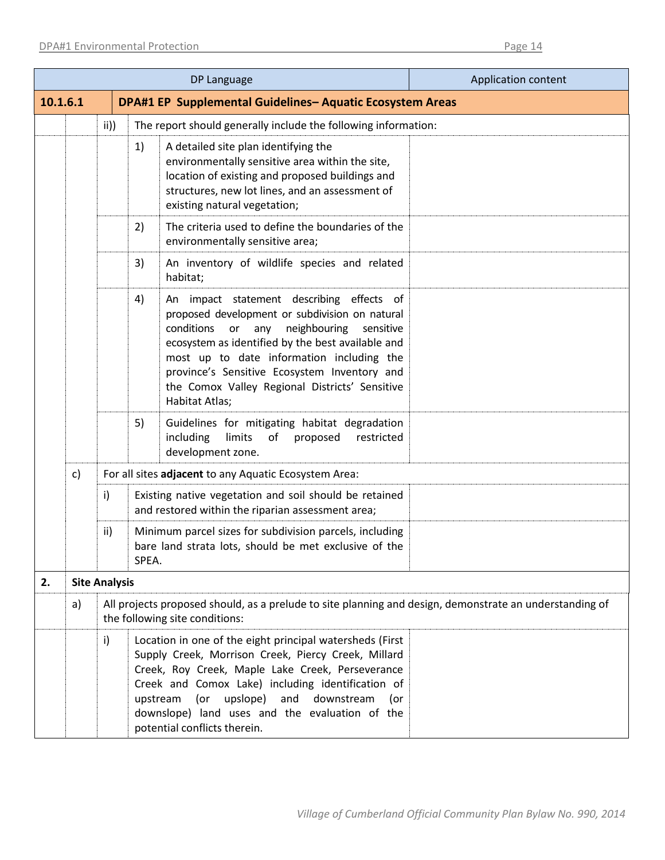|          |    |                                                       |       | DP Language                                                                                                                                                                                                                                                                                                                                                               | Application content |  |
|----------|----|-------------------------------------------------------|-------|---------------------------------------------------------------------------------------------------------------------------------------------------------------------------------------------------------------------------------------------------------------------------------------------------------------------------------------------------------------------------|---------------------|--|
| 10.1.6.1 |    |                                                       |       | DPA#1 EP Supplemental Guidelines-Aquatic Ecosystem Areas                                                                                                                                                                                                                                                                                                                  |                     |  |
|          |    | $\mathsf{ii})$                                        |       | The report should generally include the following information:                                                                                                                                                                                                                                                                                                            |                     |  |
|          |    |                                                       | 1)    | A detailed site plan identifying the<br>environmentally sensitive area within the site,<br>location of existing and proposed buildings and<br>structures, new lot lines, and an assessment of<br>existing natural vegetation;                                                                                                                                             |                     |  |
|          |    |                                                       | 2)    | The criteria used to define the boundaries of the<br>environmentally sensitive area;                                                                                                                                                                                                                                                                                      |                     |  |
|          |    |                                                       | 3)    | An inventory of wildlife species and related<br>habitat;                                                                                                                                                                                                                                                                                                                  |                     |  |
|          |    |                                                       | 4)    | An impact statement describing effects of<br>proposed development or subdivision on natural<br>conditions<br>neighbouring<br>or<br>any<br>sensitive<br>ecosystem as identified by the best available and<br>most up to date information including the<br>province's Sensitive Ecosystem Inventory and<br>the Comox Valley Regional Districts' Sensitive<br>Habitat Atlas; |                     |  |
|          |    |                                                       | 5)    | Guidelines for mitigating habitat degradation<br>including<br>limits<br>of<br>proposed<br>restricted<br>development zone.                                                                                                                                                                                                                                                 |                     |  |
|          | c) | For all sites adjacent to any Aquatic Ecosystem Area: |       |                                                                                                                                                                                                                                                                                                                                                                           |                     |  |
|          |    | i)                                                    |       | Existing native vegetation and soil should be retained<br>and restored within the riparian assessment area;                                                                                                                                                                                                                                                               |                     |  |
|          |    | ii)                                                   | SPEA. | Minimum parcel sizes for subdivision parcels, including<br>bare land strata lots, should be met exclusive of the                                                                                                                                                                                                                                                          |                     |  |
| 2.       |    | <b>Site Analysis</b>                                  |       |                                                                                                                                                                                                                                                                                                                                                                           |                     |  |
|          | a) |                                                       |       | All projects proposed should, as a prelude to site planning and design, demonstrate an understanding of<br>the following site conditions:                                                                                                                                                                                                                                 |                     |  |
|          |    | i)                                                    |       | Location in one of the eight principal watersheds (First<br>Supply Creek, Morrison Creek, Piercy Creek, Millard<br>Creek, Roy Creek, Maple Lake Creek, Perseverance<br>Creek and Comox Lake) including identification of<br>upslope) and<br>downstream<br>upstream<br>(or<br>(or<br>downslope) land uses and the evaluation of the<br>potential conflicts therein.        |                     |  |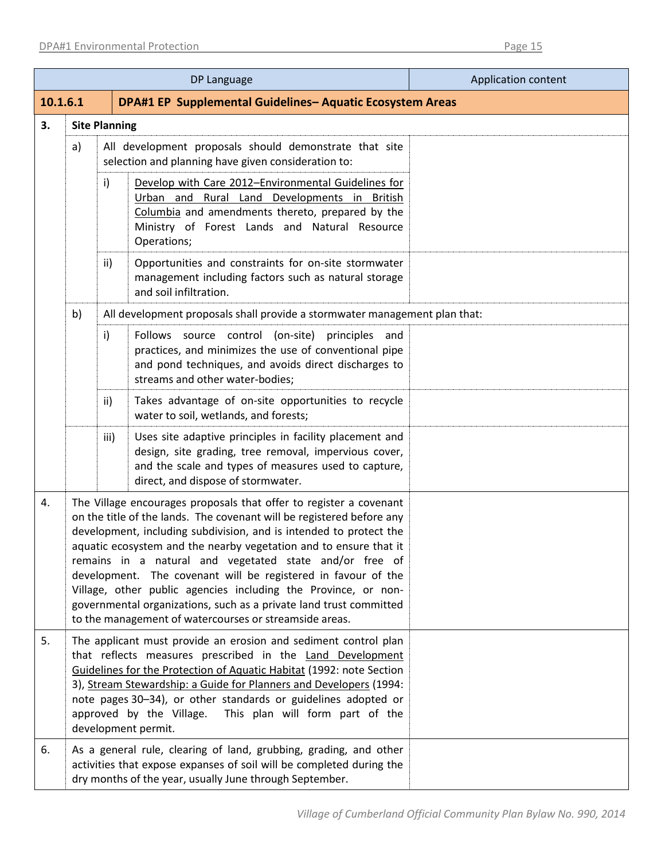|          |                                                                                                                                                                                                                                                                                                                                                                                                                                                                                                                                                                                                                      |                      | DP Language                                                                                                                                                                                                             | Application content |  |  |
|----------|----------------------------------------------------------------------------------------------------------------------------------------------------------------------------------------------------------------------------------------------------------------------------------------------------------------------------------------------------------------------------------------------------------------------------------------------------------------------------------------------------------------------------------------------------------------------------------------------------------------------|----------------------|-------------------------------------------------------------------------------------------------------------------------------------------------------------------------------------------------------------------------|---------------------|--|--|
| 10.1.6.1 |                                                                                                                                                                                                                                                                                                                                                                                                                                                                                                                                                                                                                      |                      | DPA#1 EP Supplemental Guidelines-Aquatic Ecosystem Areas                                                                                                                                                                |                     |  |  |
| 3.       |                                                                                                                                                                                                                                                                                                                                                                                                                                                                                                                                                                                                                      | <b>Site Planning</b> |                                                                                                                                                                                                                         |                     |  |  |
|          | a)                                                                                                                                                                                                                                                                                                                                                                                                                                                                                                                                                                                                                   |                      | All development proposals should demonstrate that site<br>selection and planning have given consideration to:                                                                                                           |                     |  |  |
|          |                                                                                                                                                                                                                                                                                                                                                                                                                                                                                                                                                                                                                      | i)                   | Develop with Care 2012-Environmental Guidelines for<br>Urban and Rural Land Developments in British<br>Columbia and amendments thereto, prepared by the<br>Ministry of Forest Lands and Natural Resource<br>Operations; |                     |  |  |
|          |                                                                                                                                                                                                                                                                                                                                                                                                                                                                                                                                                                                                                      | ii)                  | Opportunities and constraints for on-site stormwater<br>management including factors such as natural storage<br>and soil infiltration.                                                                                  |                     |  |  |
|          | b)                                                                                                                                                                                                                                                                                                                                                                                                                                                                                                                                                                                                                   |                      | All development proposals shall provide a stormwater management plan that:                                                                                                                                              |                     |  |  |
|          |                                                                                                                                                                                                                                                                                                                                                                                                                                                                                                                                                                                                                      | i)                   | Follows source control (on-site) principles and<br>practices, and minimizes the use of conventional pipe<br>and pond techniques, and avoids direct discharges to<br>streams and other water-bodies;                     |                     |  |  |
|          |                                                                                                                                                                                                                                                                                                                                                                                                                                                                                                                                                                                                                      | ii)                  | Takes advantage of on-site opportunities to recycle<br>water to soil, wetlands, and forests;                                                                                                                            |                     |  |  |
|          |                                                                                                                                                                                                                                                                                                                                                                                                                                                                                                                                                                                                                      | iii)                 | Uses site adaptive principles in facility placement and<br>design, site grading, tree removal, impervious cover,<br>and the scale and types of measures used to capture,<br>direct, and dispose of stormwater.          |                     |  |  |
| 4.       | The Village encourages proposals that offer to register a covenant<br>on the title of the lands. The covenant will be registered before any<br>development, including subdivision, and is intended to protect the<br>aquatic ecosystem and the nearby vegetation and to ensure that it<br>remains in a natural and vegetated state and/or free of<br>development. The covenant will be registered in favour of the<br>Village, other public agencies including the Province, or non-<br>governmental organizations, such as a private land trust committed<br>to the management of watercourses or streamside areas. |                      |                                                                                                                                                                                                                         |                     |  |  |
| 5.       | The applicant must provide an erosion and sediment control plan<br>that reflects measures prescribed in the Land Development<br>Guidelines for the Protection of Aquatic Habitat (1992: note Section<br>3), Stream Stewardship: a Guide for Planners and Developers (1994:<br>note pages 30-34), or other standards or guidelines adopted or<br>approved by the Village.<br>This plan will form part of the<br>development permit.                                                                                                                                                                                   |                      |                                                                                                                                                                                                                         |                     |  |  |
| 6.       |                                                                                                                                                                                                                                                                                                                                                                                                                                                                                                                                                                                                                      |                      | As a general rule, clearing of land, grubbing, grading, and other<br>activities that expose expanses of soil will be completed during the<br>dry months of the year, usually June through September.                    |                     |  |  |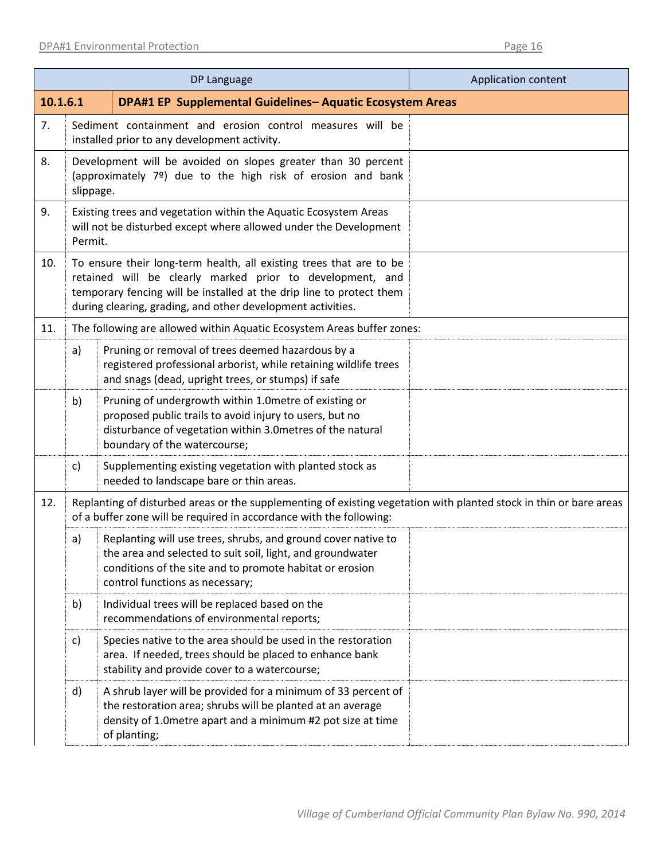|          |                                                                                                                                                                                           | DP Language                                                                                                                                                                                                                                                             | Application content |  |
|----------|-------------------------------------------------------------------------------------------------------------------------------------------------------------------------------------------|-------------------------------------------------------------------------------------------------------------------------------------------------------------------------------------------------------------------------------------------------------------------------|---------------------|--|
| 10.1.6.1 |                                                                                                                                                                                           | DPA#1 EP Supplemental Guidelines-Aquatic Ecosystem Areas                                                                                                                                                                                                                |                     |  |
| 7.       |                                                                                                                                                                                           | Sediment containment and erosion control measures will be<br>installed prior to any development activity.                                                                                                                                                               |                     |  |
| 8.       | slippage.                                                                                                                                                                                 | Development will be avoided on slopes greater than 30 percent<br>(approximately 7º) due to the high risk of erosion and bank                                                                                                                                            |                     |  |
| 9.       | Permit.                                                                                                                                                                                   | Existing trees and vegetation within the Aquatic Ecosystem Areas<br>will not be disturbed except where allowed under the Development                                                                                                                                    |                     |  |
| 10.      |                                                                                                                                                                                           | To ensure their long-term health, all existing trees that are to be<br>retained will be clearly marked prior to development, and<br>temporary fencing will be installed at the drip line to protect them<br>during clearing, grading, and other development activities. |                     |  |
| 11.      |                                                                                                                                                                                           | The following are allowed within Aquatic Ecosystem Areas buffer zones:                                                                                                                                                                                                  |                     |  |
|          | a)                                                                                                                                                                                        | Pruning or removal of trees deemed hazardous by a<br>registered professional arborist, while retaining wildlife trees<br>and snags (dead, upright trees, or stumps) if safe                                                                                             |                     |  |
|          | b)                                                                                                                                                                                        | Pruning of undergrowth within 1.0metre of existing or<br>proposed public trails to avoid injury to users, but no<br>disturbance of vegetation within 3.0metres of the natural<br>boundary of the watercourse;                                                           |                     |  |
|          | c)                                                                                                                                                                                        | Supplementing existing vegetation with planted stock as<br>needed to landscape bare or thin areas.                                                                                                                                                                      |                     |  |
| 12.      | Replanting of disturbed areas or the supplementing of existing vegetation with planted stock in thin or bare areas<br>of a buffer zone will be required in accordance with the following: |                                                                                                                                                                                                                                                                         |                     |  |
|          | a)                                                                                                                                                                                        | Replanting will use trees, shrubs, and ground cover native to<br>the area and selected to suit soil, light, and groundwater<br>conditions of the site and to promote habitat or erosion<br>control functions as necessary;                                              |                     |  |
|          | b)                                                                                                                                                                                        | Individual trees will be replaced based on the<br>recommendations of environmental reports;                                                                                                                                                                             |                     |  |
|          | c)                                                                                                                                                                                        | Species native to the area should be used in the restoration<br>area. If needed, trees should be placed to enhance bank<br>stability and provide cover to a watercourse;                                                                                                |                     |  |
|          | d)                                                                                                                                                                                        | A shrub layer will be provided for a minimum of 33 percent of<br>the restoration area; shrubs will be planted at an average<br>density of 1.0 metre apart and a minimum #2 pot size at time<br>of planting;                                                             |                     |  |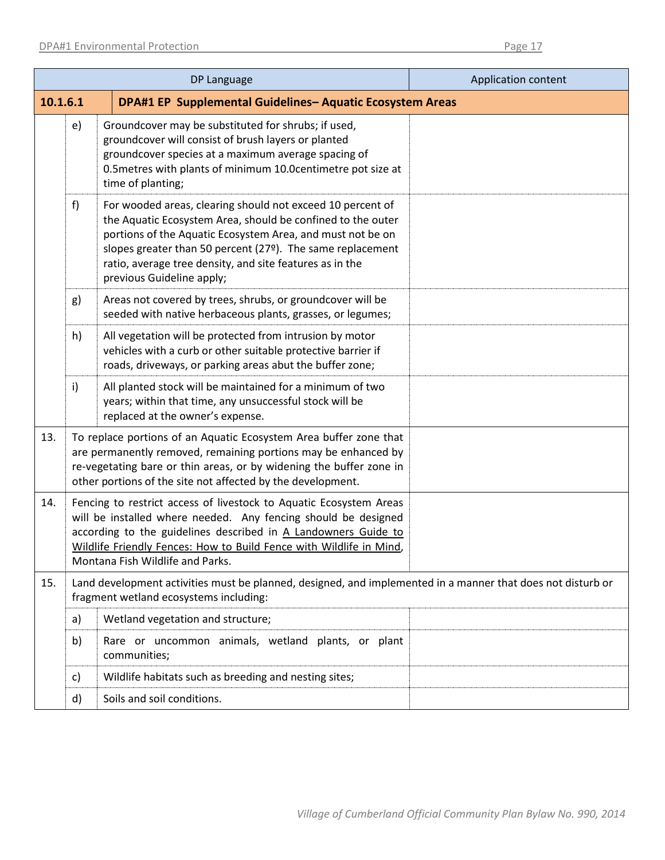|          |                                                                                                                                                                                                                                                                                                                   | DP Language                                                                                                                                                                                                                                                                                                                                    | <b>Application content</b> |  |
|----------|-------------------------------------------------------------------------------------------------------------------------------------------------------------------------------------------------------------------------------------------------------------------------------------------------------------------|------------------------------------------------------------------------------------------------------------------------------------------------------------------------------------------------------------------------------------------------------------------------------------------------------------------------------------------------|----------------------------|--|
| 10.1.6.1 |                                                                                                                                                                                                                                                                                                                   | DPA#1 EP Supplemental Guidelines-Aquatic Ecosystem Areas                                                                                                                                                                                                                                                                                       |                            |  |
|          | e)                                                                                                                                                                                                                                                                                                                | Groundcover may be substituted for shrubs; if used,<br>groundcover will consist of brush layers or planted<br>groundcover species at a maximum average spacing of<br>0.5 metres with plants of minimum 10.0 centimetre pot size at<br>time of planting;                                                                                        |                            |  |
|          | f)                                                                                                                                                                                                                                                                                                                | For wooded areas, clearing should not exceed 10 percent of<br>the Aquatic Ecosystem Area, should be confined to the outer<br>portions of the Aquatic Ecosystem Area, and must not be on<br>slopes greater than 50 percent (27º). The same replacement<br>ratio, average tree density, and site features as in the<br>previous Guideline apply; |                            |  |
|          | g)                                                                                                                                                                                                                                                                                                                | Areas not covered by trees, shrubs, or groundcover will be<br>seeded with native herbaceous plants, grasses, or legumes;                                                                                                                                                                                                                       |                            |  |
|          | h)                                                                                                                                                                                                                                                                                                                | All vegetation will be protected from intrusion by motor<br>vehicles with a curb or other suitable protective barrier if<br>roads, driveways, or parking areas abut the buffer zone;                                                                                                                                                           |                            |  |
|          | $\mathsf{i}$                                                                                                                                                                                                                                                                                                      | All planted stock will be maintained for a minimum of two<br>years; within that time, any unsuccessful stock will be<br>replaced at the owner's expense.                                                                                                                                                                                       |                            |  |
| 13.      |                                                                                                                                                                                                                                                                                                                   | To replace portions of an Aquatic Ecosystem Area buffer zone that<br>are permanently removed, remaining portions may be enhanced by<br>re-vegetating bare or thin areas, or by widening the buffer zone in<br>other portions of the site not affected by the development.                                                                      |                            |  |
| 14.      | Fencing to restrict access of livestock to Aquatic Ecosystem Areas<br>will be installed where needed. Any fencing should be designed<br>according to the guidelines described in A Landowners Guide to<br>Wildlife Friendly Fences: How to Build Fence with Wildlife in Mind,<br>Montana Fish Wildlife and Parks. |                                                                                                                                                                                                                                                                                                                                                |                            |  |
| 15.      |                                                                                                                                                                                                                                                                                                                   | Land development activities must be planned, designed, and implemented in a manner that does not disturb or<br>fragment wetland ecosystems including:                                                                                                                                                                                          |                            |  |
|          | a)                                                                                                                                                                                                                                                                                                                | Wetland vegetation and structure;                                                                                                                                                                                                                                                                                                              |                            |  |
|          | b)                                                                                                                                                                                                                                                                                                                | Rare or uncommon animals, wetland plants, or plant<br>communities;                                                                                                                                                                                                                                                                             |                            |  |
|          | c)                                                                                                                                                                                                                                                                                                                | Wildlife habitats such as breeding and nesting sites;                                                                                                                                                                                                                                                                                          |                            |  |
|          | d)                                                                                                                                                                                                                                                                                                                | Soils and soil conditions.                                                                                                                                                                                                                                                                                                                     |                            |  |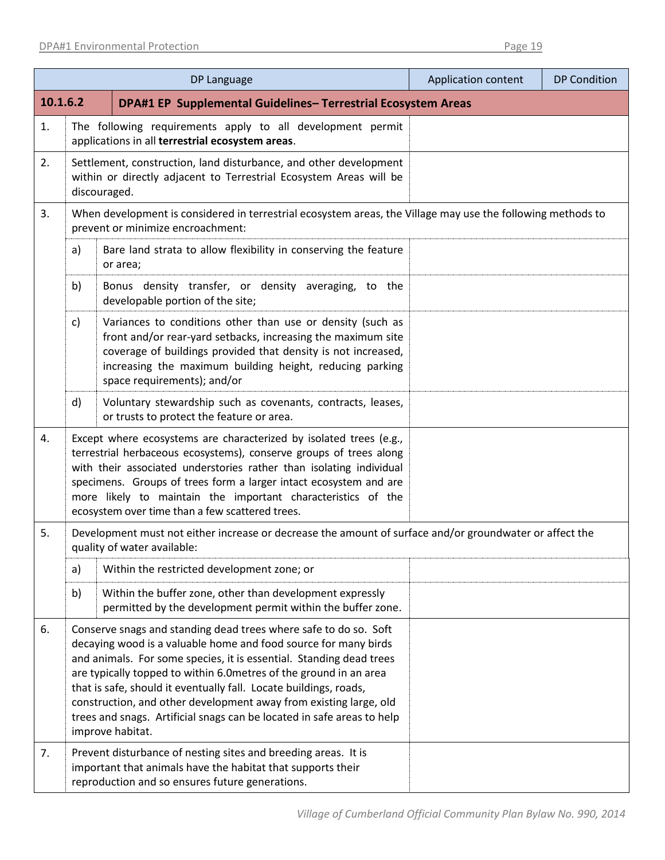|          |                                                                                                                                                                                                                                                                                                                                                                                                                                                                                                                         | DP Language                                                                                                                                                                                                                                                                            | Application content | <b>DP Condition</b> |  |  |  |
|----------|-------------------------------------------------------------------------------------------------------------------------------------------------------------------------------------------------------------------------------------------------------------------------------------------------------------------------------------------------------------------------------------------------------------------------------------------------------------------------------------------------------------------------|----------------------------------------------------------------------------------------------------------------------------------------------------------------------------------------------------------------------------------------------------------------------------------------|---------------------|---------------------|--|--|--|
| 10.1.6.2 |                                                                                                                                                                                                                                                                                                                                                                                                                                                                                                                         | DPA#1 EP Supplemental Guidelines-Terrestrial Ecosystem Areas                                                                                                                                                                                                                           |                     |                     |  |  |  |
| 1.       |                                                                                                                                                                                                                                                                                                                                                                                                                                                                                                                         | The following requirements apply to all development permit<br>applications in all terrestrial ecosystem areas.                                                                                                                                                                         |                     |                     |  |  |  |
| 2.       | Settlement, construction, land disturbance, and other development<br>within or directly adjacent to Terrestrial Ecosystem Areas will be<br>discouraged.                                                                                                                                                                                                                                                                                                                                                                 |                                                                                                                                                                                                                                                                                        |                     |                     |  |  |  |
| 3.       |                                                                                                                                                                                                                                                                                                                                                                                                                                                                                                                         | When development is considered in terrestrial ecosystem areas, the Village may use the following methods to<br>prevent or minimize encroachment:                                                                                                                                       |                     |                     |  |  |  |
|          | a)                                                                                                                                                                                                                                                                                                                                                                                                                                                                                                                      | Bare land strata to allow flexibility in conserving the feature<br>or area;                                                                                                                                                                                                            |                     |                     |  |  |  |
|          | b)                                                                                                                                                                                                                                                                                                                                                                                                                                                                                                                      | Bonus density transfer, or density averaging, to the<br>developable portion of the site;                                                                                                                                                                                               |                     |                     |  |  |  |
|          | c)                                                                                                                                                                                                                                                                                                                                                                                                                                                                                                                      | Variances to conditions other than use or density (such as<br>front and/or rear-yard setbacks, increasing the maximum site<br>coverage of buildings provided that density is not increased,<br>increasing the maximum building height, reducing parking<br>space requirements); and/or |                     |                     |  |  |  |
|          | d)                                                                                                                                                                                                                                                                                                                                                                                                                                                                                                                      | Voluntary stewardship such as covenants, contracts, leases,<br>or trusts to protect the feature or area.                                                                                                                                                                               |                     |                     |  |  |  |
| 4.       | Except where ecosystems are characterized by isolated trees (e.g.,<br>terrestrial herbaceous ecosystems), conserve groups of trees along<br>with their associated understories rather than isolating individual<br>specimens. Groups of trees form a larger intact ecosystem and are<br>more likely to maintain the important characteristics of the<br>ecosystem over time than a few scattered trees.                                                                                                                 |                                                                                                                                                                                                                                                                                        |                     |                     |  |  |  |
| 5.       | Development must not either increase or decrease the amount of surface and/or groundwater or affect the<br>quality of water available:                                                                                                                                                                                                                                                                                                                                                                                  |                                                                                                                                                                                                                                                                                        |                     |                     |  |  |  |
|          | a)                                                                                                                                                                                                                                                                                                                                                                                                                                                                                                                      | Within the restricted development zone; or                                                                                                                                                                                                                                             |                     |                     |  |  |  |
|          | b)                                                                                                                                                                                                                                                                                                                                                                                                                                                                                                                      | Within the buffer zone, other than development expressly<br>permitted by the development permit within the buffer zone.                                                                                                                                                                |                     |                     |  |  |  |
| 6.       | Conserve snags and standing dead trees where safe to do so. Soft<br>decaying wood is a valuable home and food source for many birds<br>and animals. For some species, it is essential. Standing dead trees<br>are typically topped to within 6.0metres of the ground in an area<br>that is safe, should it eventually fall. Locate buildings, roads,<br>construction, and other development away from existing large, old<br>trees and snags. Artificial snags can be located in safe areas to help<br>improve habitat. |                                                                                                                                                                                                                                                                                        |                     |                     |  |  |  |
| 7.       | Prevent disturbance of nesting sites and breeding areas. It is<br>important that animals have the habitat that supports their<br>reproduction and so ensures future generations.                                                                                                                                                                                                                                                                                                                                        |                                                                                                                                                                                                                                                                                        |                     |                     |  |  |  |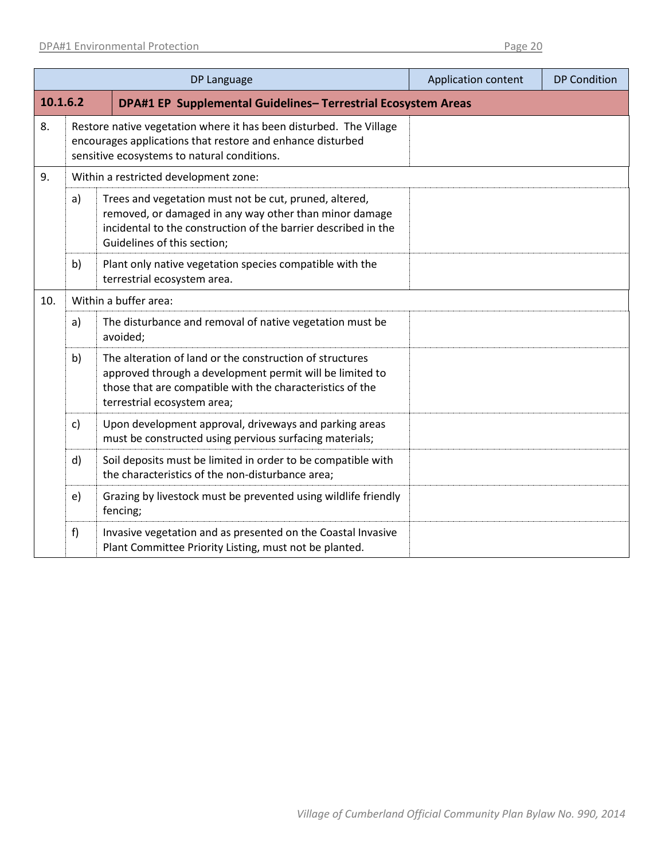|          |                                                                                                                                                                                 | DP Language                                                                                                                                                                                                       | Application content | <b>DP Condition</b> |  |  |
|----------|---------------------------------------------------------------------------------------------------------------------------------------------------------------------------------|-------------------------------------------------------------------------------------------------------------------------------------------------------------------------------------------------------------------|---------------------|---------------------|--|--|
| 10.1.6.2 |                                                                                                                                                                                 | DPA#1 EP Supplemental Guidelines-Terrestrial Ecosystem Areas                                                                                                                                                      |                     |                     |  |  |
| 8.       | Restore native vegetation where it has been disturbed. The Village<br>encourages applications that restore and enhance disturbed<br>sensitive ecosystems to natural conditions. |                                                                                                                                                                                                                   |                     |                     |  |  |
| 9.       | Within a restricted development zone:                                                                                                                                           |                                                                                                                                                                                                                   |                     |                     |  |  |
|          | a)                                                                                                                                                                              | Trees and vegetation must not be cut, pruned, altered,<br>removed, or damaged in any way other than minor damage<br>incidental to the construction of the barrier described in the<br>Guidelines of this section; |                     |                     |  |  |
|          | b)                                                                                                                                                                              | Plant only native vegetation species compatible with the<br>terrestrial ecosystem area.                                                                                                                           |                     |                     |  |  |
| 10.      | Within a buffer area:                                                                                                                                                           |                                                                                                                                                                                                                   |                     |                     |  |  |
|          | a)                                                                                                                                                                              | The disturbance and removal of native vegetation must be<br>avoided;                                                                                                                                              |                     |                     |  |  |
|          | b)                                                                                                                                                                              | The alteration of land or the construction of structures<br>approved through a development permit will be limited to<br>those that are compatible with the characteristics of the<br>terrestrial ecosystem area;  |                     |                     |  |  |
|          | c)                                                                                                                                                                              | Upon development approval, driveways and parking areas<br>must be constructed using pervious surfacing materials;                                                                                                 |                     |                     |  |  |
|          | d)                                                                                                                                                                              | Soil deposits must be limited in order to be compatible with<br>the characteristics of the non-disturbance area;                                                                                                  |                     |                     |  |  |
|          | e)                                                                                                                                                                              | Grazing by livestock must be prevented using wildlife friendly<br>fencing;                                                                                                                                        |                     |                     |  |  |
|          | f)                                                                                                                                                                              | Invasive vegetation and as presented on the Coastal Invasive<br>Plant Committee Priority Listing, must not be planted.                                                                                            |                     |                     |  |  |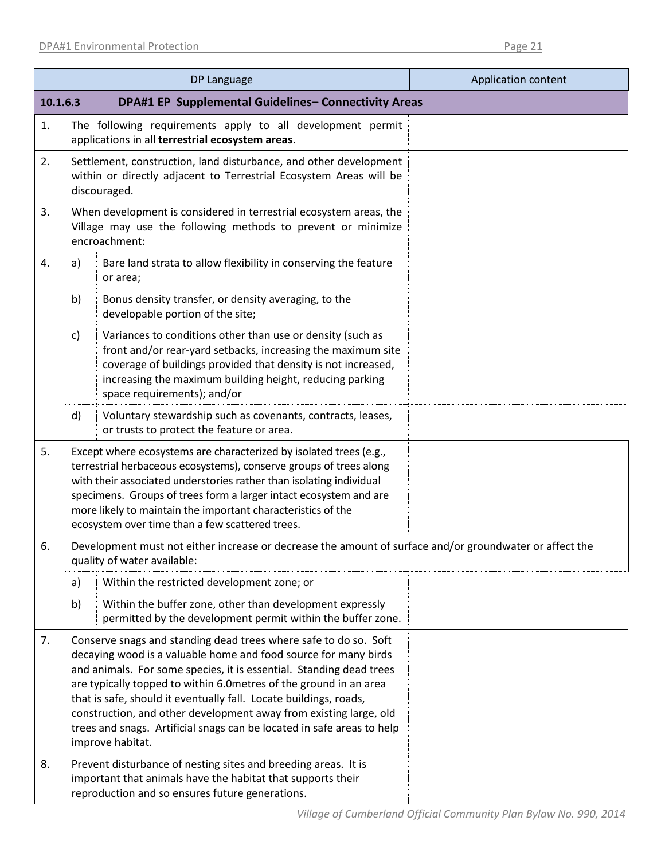| DP Language |                                                                                                                                                                                                                                                                                                                                                                                                                                                                                                                         |                                                                                                                                                                                                                                                                                        | <b>Application content</b> |
|-------------|-------------------------------------------------------------------------------------------------------------------------------------------------------------------------------------------------------------------------------------------------------------------------------------------------------------------------------------------------------------------------------------------------------------------------------------------------------------------------------------------------------------------------|----------------------------------------------------------------------------------------------------------------------------------------------------------------------------------------------------------------------------------------------------------------------------------------|----------------------------|
| 10.1.6.3    |                                                                                                                                                                                                                                                                                                                                                                                                                                                                                                                         | DPA#1 EP Supplemental Guidelines-Connectivity Areas                                                                                                                                                                                                                                    |                            |
| 1.          | The following requirements apply to all development permit<br>applications in all terrestrial ecosystem areas.                                                                                                                                                                                                                                                                                                                                                                                                          |                                                                                                                                                                                                                                                                                        |                            |
| 2.          | Settlement, construction, land disturbance, and other development<br>within or directly adjacent to Terrestrial Ecosystem Areas will be<br>discouraged.                                                                                                                                                                                                                                                                                                                                                                 |                                                                                                                                                                                                                                                                                        |                            |
| 3.          | When development is considered in terrestrial ecosystem areas, the<br>Village may use the following methods to prevent or minimize<br>encroachment:                                                                                                                                                                                                                                                                                                                                                                     |                                                                                                                                                                                                                                                                                        |                            |
| 4.          | a)                                                                                                                                                                                                                                                                                                                                                                                                                                                                                                                      | Bare land strata to allow flexibility in conserving the feature<br>or area;                                                                                                                                                                                                            |                            |
|             | b)                                                                                                                                                                                                                                                                                                                                                                                                                                                                                                                      | Bonus density transfer, or density averaging, to the<br>developable portion of the site;                                                                                                                                                                                               |                            |
|             | c)                                                                                                                                                                                                                                                                                                                                                                                                                                                                                                                      | Variances to conditions other than use or density (such as<br>front and/or rear-yard setbacks, increasing the maximum site<br>coverage of buildings provided that density is not increased,<br>increasing the maximum building height, reducing parking<br>space requirements); and/or |                            |
|             | d)                                                                                                                                                                                                                                                                                                                                                                                                                                                                                                                      | Voluntary stewardship such as covenants, contracts, leases,<br>or trusts to protect the feature or area.                                                                                                                                                                               |                            |
| 5.          | Except where ecosystems are characterized by isolated trees (e.g.,<br>terrestrial herbaceous ecosystems), conserve groups of trees along<br>with their associated understories rather than isolating individual<br>specimens. Groups of trees form a larger intact ecosystem and are<br>more likely to maintain the important characteristics of the<br>ecosystem over time than a few scattered trees.                                                                                                                 |                                                                                                                                                                                                                                                                                        |                            |
| 6.          | Development must not either increase or decrease the amount of surface and/or groundwater or affect the<br>quality of water available:                                                                                                                                                                                                                                                                                                                                                                                  |                                                                                                                                                                                                                                                                                        |                            |
|             | a)                                                                                                                                                                                                                                                                                                                                                                                                                                                                                                                      | Within the restricted development zone; or                                                                                                                                                                                                                                             |                            |
|             | b)                                                                                                                                                                                                                                                                                                                                                                                                                                                                                                                      | Within the buffer zone, other than development expressly<br>permitted by the development permit within the buffer zone.                                                                                                                                                                |                            |
| 7.          | Conserve snags and standing dead trees where safe to do so. Soft<br>decaying wood is a valuable home and food source for many birds<br>and animals. For some species, it is essential. Standing dead trees<br>are typically topped to within 6.0metres of the ground in an area<br>that is safe, should it eventually fall. Locate buildings, roads,<br>construction, and other development away from existing large, old<br>trees and snags. Artificial snags can be located in safe areas to help<br>improve habitat. |                                                                                                                                                                                                                                                                                        |                            |
| 8.          | Prevent disturbance of nesting sites and breeding areas. It is<br>important that animals have the habitat that supports their<br>reproduction and so ensures future generations.                                                                                                                                                                                                                                                                                                                                        |                                                                                                                                                                                                                                                                                        |                            |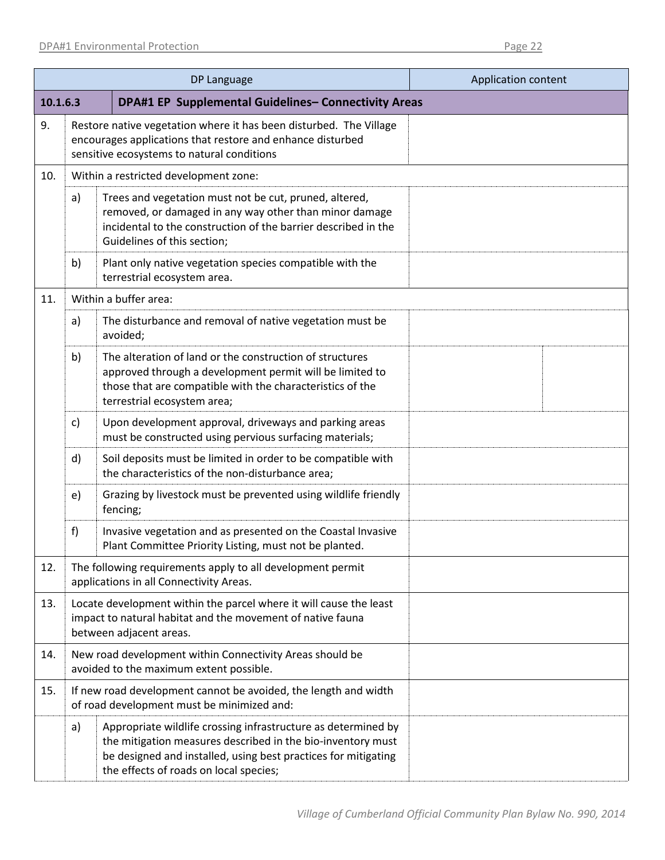|          |                                                                                                                                                                                | DP Language                                                                                                                                                                                                                              | <b>Application content</b> |  |  |
|----------|--------------------------------------------------------------------------------------------------------------------------------------------------------------------------------|------------------------------------------------------------------------------------------------------------------------------------------------------------------------------------------------------------------------------------------|----------------------------|--|--|
| 10.1.6.3 |                                                                                                                                                                                | DPA#1 EP Supplemental Guidelines- Connectivity Areas                                                                                                                                                                                     |                            |  |  |
| 9.       | Restore native vegetation where it has been disturbed. The Village<br>encourages applications that restore and enhance disturbed<br>sensitive ecosystems to natural conditions |                                                                                                                                                                                                                                          |                            |  |  |
| 10.      |                                                                                                                                                                                | Within a restricted development zone:                                                                                                                                                                                                    |                            |  |  |
|          | a)                                                                                                                                                                             | Trees and vegetation must not be cut, pruned, altered,<br>removed, or damaged in any way other than minor damage<br>incidental to the construction of the barrier described in the<br>Guidelines of this section;                        |                            |  |  |
|          | b)                                                                                                                                                                             | Plant only native vegetation species compatible with the<br>terrestrial ecosystem area.                                                                                                                                                  |                            |  |  |
| 11.      | Within a buffer area:                                                                                                                                                          |                                                                                                                                                                                                                                          |                            |  |  |
|          | a)                                                                                                                                                                             | The disturbance and removal of native vegetation must be<br>avoided;                                                                                                                                                                     |                            |  |  |
|          | b)                                                                                                                                                                             | The alteration of land or the construction of structures<br>approved through a development permit will be limited to<br>those that are compatible with the characteristics of the<br>terrestrial ecosystem area;                         |                            |  |  |
|          | c)                                                                                                                                                                             | Upon development approval, driveways and parking areas<br>must be constructed using pervious surfacing materials;                                                                                                                        |                            |  |  |
|          | d)                                                                                                                                                                             | Soil deposits must be limited in order to be compatible with<br>the characteristics of the non-disturbance area;                                                                                                                         |                            |  |  |
|          | e)                                                                                                                                                                             | Grazing by livestock must be prevented using wildlife friendly<br>fencing;                                                                                                                                                               |                            |  |  |
|          | f)                                                                                                                                                                             | Invasive vegetation and as presented on the Coastal Invasive<br>Plant Committee Priority Listing, must not be planted.                                                                                                                   |                            |  |  |
| 12.      | The following requirements apply to all development permit<br>applications in all Connectivity Areas.                                                                          |                                                                                                                                                                                                                                          |                            |  |  |
| 13.      | Locate development within the parcel where it will cause the least<br>impact to natural habitat and the movement of native fauna<br>between adjacent areas.                    |                                                                                                                                                                                                                                          |                            |  |  |
| 14.      | New road development within Connectivity Areas should be<br>avoided to the maximum extent possible.                                                                            |                                                                                                                                                                                                                                          |                            |  |  |
| 15.      | If new road development cannot be avoided, the length and width<br>of road development must be minimized and:                                                                  |                                                                                                                                                                                                                                          |                            |  |  |
|          | a)                                                                                                                                                                             | Appropriate wildlife crossing infrastructure as determined by<br>the mitigation measures described in the bio-inventory must<br>be designed and installed, using best practices for mitigating<br>the effects of roads on local species; |                            |  |  |